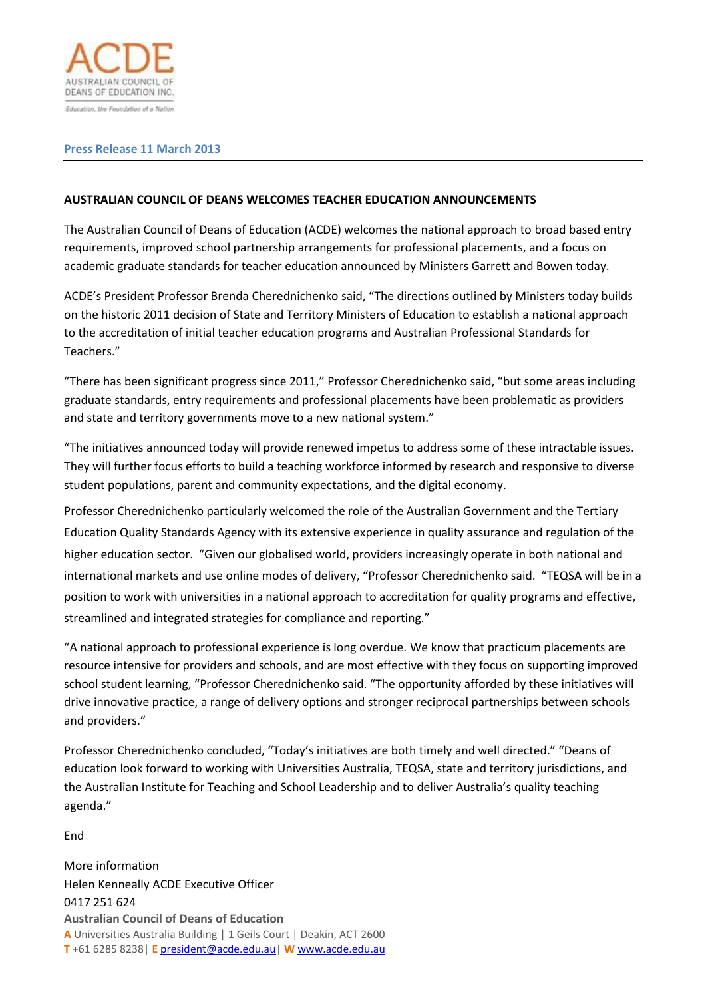

## **Press Release 11 March 2013**

## **AUSTRALIAN COUNCIL OF DEANS WELCOMES TEACHER EDUCATION ANNOUNCEMENTS**

The Australian Council of Deans of Education (ACDE) welcomes the national approach to broad based entry requirements, improved school partnership arrangements for professional placements, and a focus on academic graduate standards for teacher education announced by Ministers Garrett and Bowen today.

ACDE's President Professor Brenda Cherednichenko said, "The directions outlined by Ministers today builds on the historic 2011 decision of State and Territory Ministers of Education to establish a national approach to the accreditation of initial teacher education programs and Australian Professional Standards for Teachers."

"There has been significant progress since 2011," Professor Cherednichenko said, "but some areas including graduate standards, entry requirements and professional placements have been problematic as providers and state and territory governments move to a new national system."

"The initiatives announced today will provide renewed impetus to address some of these intractable issues. They will further focus efforts to build a teaching workforce informed by research and responsive to diverse student populations, parent and community expectations, and the digital economy.

Professor Cherednichenko particularly welcomed the role of the Australian Government and the Tertiary Education Quality Standards Agency with its extensive experience in quality assurance and regulation of the higher education sector. "Given our globalised world, providers increasingly operate in both national and international markets and use online modes of delivery, "Professor Cherednichenko said. "TEQSA will be in a position to work with universities in a national approach to accreditation for quality programs and effective, streamlined and integrated strategies for compliance and reporting."

"A national approach to professional experience is long overdue. We know that practicum placements are resource intensive for providers and schools, and are most effective with they focus on supporting improved school student learning, "Professor Cherednichenko said. "The opportunity afforded by these initiatives will drive innovative practice, a range of delivery options and stronger reciprocal partnerships between schools and providers."

Professor Cherednichenko concluded, "Today's initiatives are both timely and well directed." "Deans of education look forward to working with Universities Australia, TEQSA, state and territory jurisdictions, and the Australian Institute for Teaching and School Leadership and to deliver Australia's quality teaching agenda."

End

**Australian Council of Deans of Education A** Universities Australia Building | 1 Geils Court | Deakin, ACT 2600 **T** +61 6285 8238| **E** president@acde.edu.au| **W** www.acde.edu.au More information Helen Kenneally ACDE Executive Officer 0417 251 624